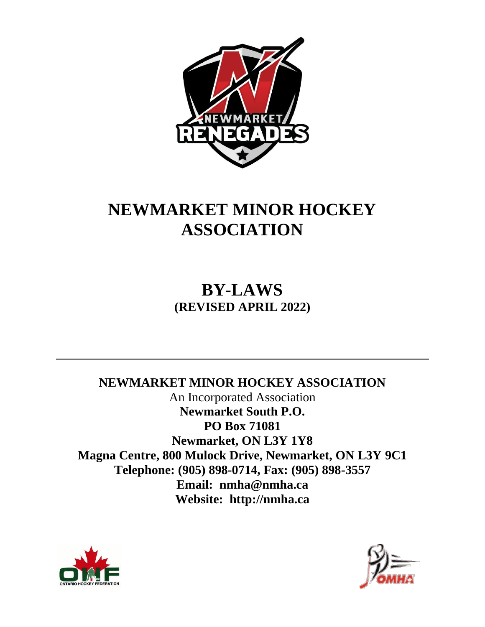

# **NEWMARKET MINOR HOCKEY ASSOCIATION**

**BY-LAWS (REVISED APRIL 2022)**

**NEWMARKET MINOR HOCKEY ASSOCIATION** An Incorporated Association **Newmarket South P.O. PO Box 71081 Newmarket, ON L3Y 1Y8 Magna Centre, 800 Mulock Drive, Newmarket, ON L3Y 9C1 Telephone: (905) 898-0714, Fax: (905) 898-3557 Email: nmha@nmha.ca Website: http://nmha.ca**



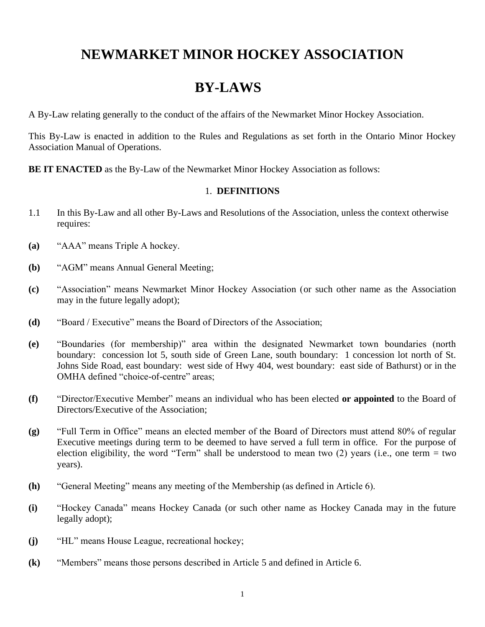# **NEWMARKET MINOR HOCKEY ASSOCIATION**

# **BY-LAWS**

A By-Law relating generally to the conduct of the affairs of the Newmarket Minor Hockey Association.

This By-Law is enacted in addition to the Rules and Regulations as set forth in the Ontario Minor Hockey Association Manual of Operations.

**BE IT ENACTED** as the By-Law of the Newmarket Minor Hockey Association as follows:

#### 1. **DEFINITIONS**

- 1.1 In this By-Law and all other By-Laws and Resolutions of the Association, unless the context otherwise requires:
- **(a)** "AAA" means Triple A hockey.
- **(b)** "AGM" means Annual General Meeting;
- **(c)** "Association" means Newmarket Minor Hockey Association (or such other name as the Association may in the future legally adopt);
- **(d)** "Board / Executive" means the Board of Directors of the Association;
- **(e)** "Boundaries (for membership)" area within the designated Newmarket town boundaries (north boundary: concession lot 5, south side of Green Lane, south boundary: 1 concession lot north of St. Johns Side Road, east boundary: west side of Hwy 404, west boundary: east side of Bathurst) or in the OMHA defined "choice-of-centre" areas;
- **(f)** "Director/Executive Member" means an individual who has been elected **or appointed** to the Board of Directors/Executive of the Association;
- **(g)** "Full Term in Office" means an elected member of the Board of Directors must attend 80% of regular Executive meetings during term to be deemed to have served a full term in office. For the purpose of election eligibility, the word "Term" shall be understood to mean two  $(2)$  years (i.e., one term = two years).
- **(h)** "General Meeting" means any meeting of the Membership (as defined in Article 6).
- **(i)** "Hockey Canada" means Hockey Canada (or such other name as Hockey Canada may in the future legally adopt);
- **(j)** "HL" means House League, recreational hockey;
- **(k)** "Members" means those persons described in Article 5 and defined in Article 6.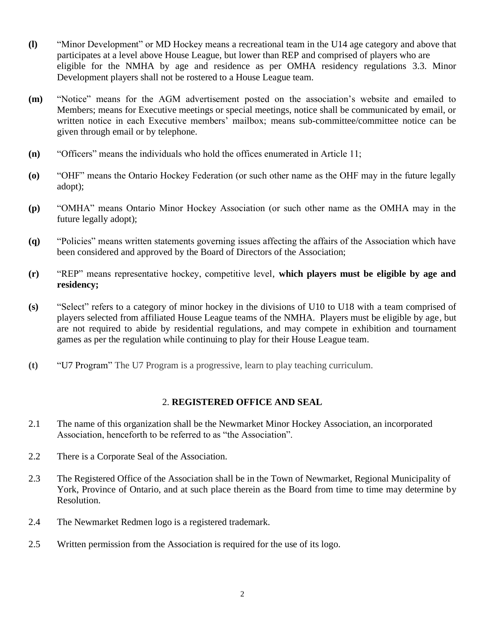- **(l)** "Minor Development" or MD Hockey means a recreational team in the U14 age category and above that participates at a level above House League, but lower than REP and comprised of players who are eligible for the NMHA by age and residence as per OMHA residency regulations 3.3. Minor Development players shall not be rostered to a House League team.
- **(m)** "Notice" means for the AGM advertisement posted on the association's website and emailed to Members; means for Executive meetings or special meetings, notice shall be communicated by email, or written notice in each Executive members' mailbox; means sub-committee/committee notice can be given through email or by telephone.
- **(n)** "Officers" means the individuals who hold the offices enumerated in Article 11;
- **(o)** "OHF" means the Ontario Hockey Federation (or such other name as the OHF may in the future legally adopt);
- **(p)** "OMHA" means Ontario Minor Hockey Association (or such other name as the OMHA may in the future legally adopt);
- **(q)** "Policies" means written statements governing issues affecting the affairs of the Association which have been considered and approved by the Board of Directors of the Association;
- **(r)** "REP" means representative hockey, competitive level, **which players must be eligible by age and residency;**
- **(s)** "Select" refers to a category of minor hockey in the divisions of U10 to U18 with a team comprised of players selected from affiliated House League teams of the NMHA. Players must be eligible by age, but are not required to abide by residential regulations, and may compete in exhibition and tournament games as per the regulation while continuing to play for their House League team.
- **(t)** "U7 Program" The U7 Program is a progressive, learn to play teaching curriculum.

# 2. **REGISTERED OFFICE AND SEAL**

- 2.1 The name of this organization shall be the Newmarket Minor Hockey Association, an incorporated Association, henceforth to be referred to as "the Association".
- 2.2 There is a Corporate Seal of the Association.
- 2.3 The Registered Office of the Association shall be in the Town of Newmarket, Regional Municipality of York, Province of Ontario, and at such place therein as the Board from time to time may determine by Resolution.
- 2.4 The Newmarket Redmen logo is a registered trademark.
- 2.5 Written permission from the Association is required for the use of its logo.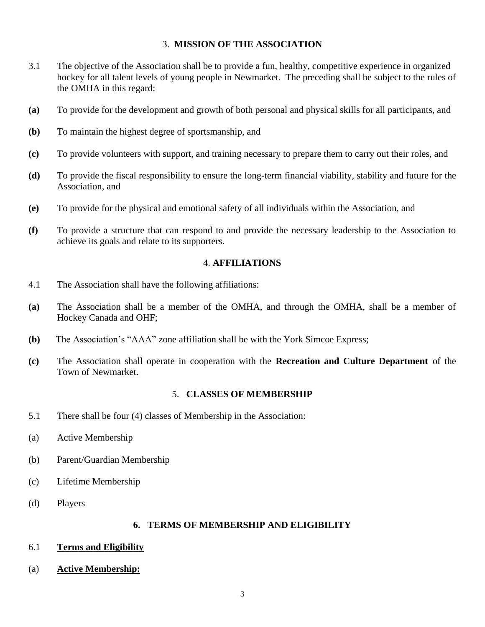#### 3. **MISSION OF THE ASSOCIATION**

- 3.1 The objective of the Association shall be to provide a fun, healthy, competitive experience in organized hockey for all talent levels of young people in Newmarket. The preceding shall be subject to the rules of the OMHA in this regard:
- **(a)** To provide for the development and growth of both personal and physical skills for all participants, and
- **(b)** To maintain the highest degree of sportsmanship, and
- **(c)** To provide volunteers with support, and training necessary to prepare them to carry out their roles, and
- **(d)** To provide the fiscal responsibility to ensure the long-term financial viability, stability and future for the Association, and
- **(e)** To provide for the physical and emotional safety of all individuals within the Association, and
- **(f)** To provide a structure that can respond to and provide the necessary leadership to the Association to achieve its goals and relate to its supporters.

#### 4. **AFFILIATIONS**

- 4.1 The Association shall have the following affiliations:
- **(a)** The Association shall be a member of the OMHA, and through the OMHA, shall be a member of Hockey Canada and OHF;
- **(b)** The Association's "AAA" zone affiliation shall be with the York Simcoe Express;
- **(c)** The Association shall operate in cooperation with the **Recreation and Culture Department** of the Town of Newmarket.

#### 5. **CLASSES OF MEMBERSHIP**

- 5.1 There shall be four (4) classes of Membership in the Association:
- (a) Active Membership
- (b) Parent/Guardian Membership
- (c) Lifetime Membership
- (d) Players

#### **6. TERMS OF MEMBERSHIP AND ELIGIBILITY**

- 6.1 **Terms and Eligibility**
- (a) **Active Membership:**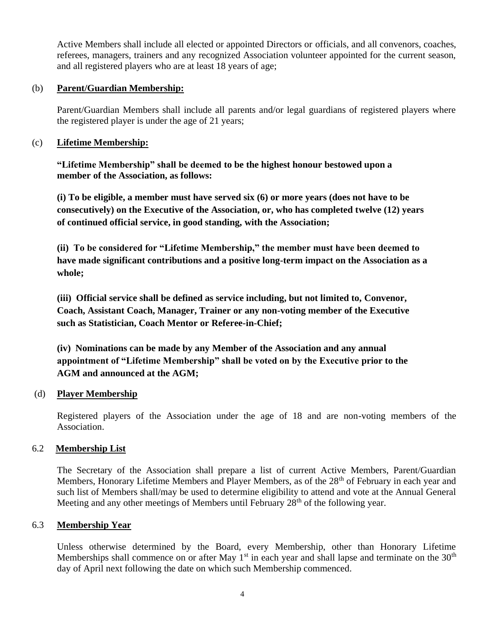Active Members shall include all elected or appointed Directors or officials, and all convenors, coaches, referees, managers, trainers and any recognized Association volunteer appointed for the current season, and all registered players who are at least 18 years of age;

# (b) **Parent/Guardian Membership:**

Parent/Guardian Members shall include all parents and/or legal guardians of registered players where the registered player is under the age of 21 years;

# (c) **Lifetime Membership:**

**"Lifetime Membership" shall be deemed to be the highest honour bestowed upon a member of the Association, as follows:**

**(i) To be eligible, a member must have served six (6) or more years (does not have to be consecutively) on the Executive of the Association, or, who has completed twelve (12) years of continued official service, in good standing, with the Association;**

**(ii) To be considered for "Lifetime Membership," the member must have been deemed to have made significant contributions and a positive long-term impact on the Association as a whole;** 

**(iii) Official service shall be defined as service including, but not limited to, Convenor, Coach, Assistant Coach, Manager, Trainer or any non-voting member of the Executive such as Statistician, Coach Mentor or Referee-in-Chief;**

**(iv) Nominations can be made by any Member of the Association and any annual appointment of "Lifetime Membership" shall be voted on by the Executive prior to the AGM and announced at the AGM;**

#### (d) **Player Membership**

Registered players of the Association under the age of 18 and are non-voting members of the Association.

# 6.2 **Membership List**

The Secretary of the Association shall prepare a list of current Active Members, Parent/Guardian Members, Honorary Lifetime Members and Player Members, as of the 28<sup>th</sup> of February in each year and such list of Members shall/may be used to determine eligibility to attend and vote at the Annual General Meeting and any other meetings of Members until February 28<sup>th</sup> of the following year.

#### 6.3 **Membership Year**

Unless otherwise determined by the Board, every Membership, other than Honorary Lifetime Memberships shall commence on or after May  $1<sup>st</sup>$  in each year and shall lapse and terminate on the 30<sup>th</sup> day of April next following the date on which such Membership commenced.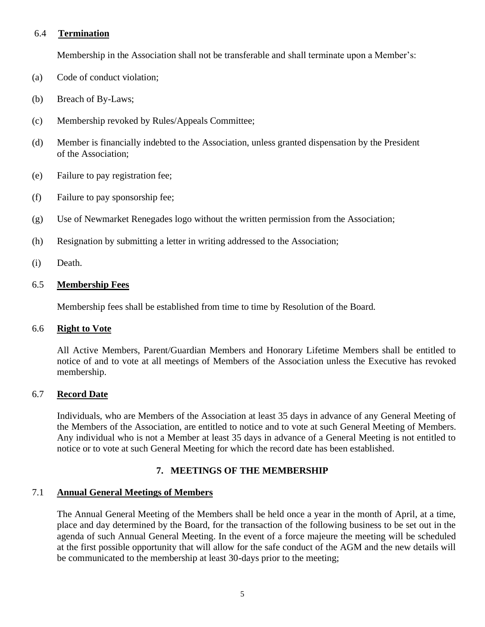# 6.4 **Termination**

Membership in the Association shall not be transferable and shall terminate upon a Member's:

- (a) Code of conduct violation;
- (b) Breach of By-Laws;
- (c) Membership revoked by Rules/Appeals Committee;
- (d) Member is financially indebted to the Association, unless granted dispensation by the President of the Association;
- (e) Failure to pay registration fee;
- (f) Failure to pay sponsorship fee;
- (g) Use of Newmarket Renegades logo without the written permission from the Association;
- (h) Resignation by submitting a letter in writing addressed to the Association;
- (i) Death.

# 6.5 **Membership Fees**

Membership fees shall be established from time to time by Resolution of the Board.

# 6.6 **Right to Vote**

All Active Members, Parent/Guardian Members and Honorary Lifetime Members shall be entitled to notice of and to vote at all meetings of Members of the Association unless the Executive has revoked membership.

# 6.7 **Record Date**

Individuals, who are Members of the Association at least 35 days in advance of any General Meeting of the Members of the Association, are entitled to notice and to vote at such General Meeting of Members. Any individual who is not a Member at least 35 days in advance of a General Meeting is not entitled to notice or to vote at such General Meeting for which the record date has been established.

# **7. MEETINGS OF THE MEMBERSHIP**

# 7.1 **Annual General Meetings of Members**

The Annual General Meeting of the Members shall be held once a year in the month of April, at a time, place and day determined by the Board, for the transaction of the following business to be set out in the agenda of such Annual General Meeting. In the event of a force majeure the meeting will be scheduled at the first possible opportunity that will allow for the safe conduct of the AGM and the new details will be communicated to the membership at least 30-days prior to the meeting;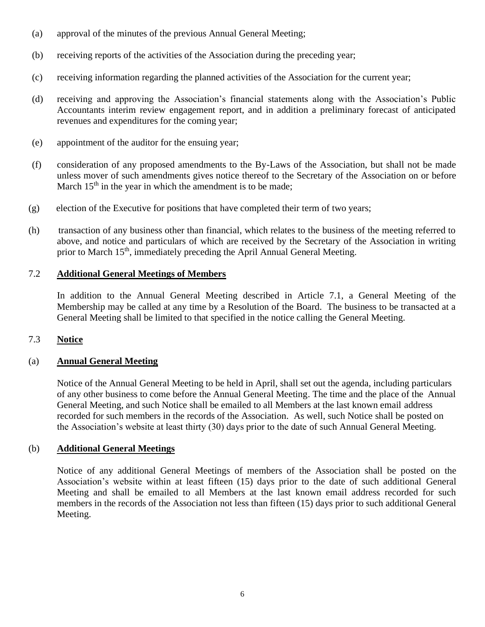- (a) approval of the minutes of the previous Annual General Meeting;
- (b) receiving reports of the activities of the Association during the preceding year;
- (c) receiving information regarding the planned activities of the Association for the current year;
- (d) receiving and approving the Association's financial statements along with the Association's Public Accountants interim review engagement report, and in addition a preliminary forecast of anticipated revenues and expenditures for the coming year;
- (e) appointment of the auditor for the ensuing year;
- (f) consideration of any proposed amendments to the By-Laws of the Association, but shall not be made unless mover of such amendments gives notice thereof to the Secretary of the Association on or before March  $15<sup>th</sup>$  in the year in which the amendment is to be made;
- (g) election of the Executive for positions that have completed their term of two years;
- (h) transaction of any business other than financial, which relates to the business of the meeting referred to above, and notice and particulars of which are received by the Secretary of the Association in writing prior to March 15<sup>th</sup>, immediately preceding the April Annual General Meeting.

# 7.2 **Additional General Meetings of Members**

In addition to the Annual General Meeting described in Article 7.1, a General Meeting of the Membership may be called at any time by a Resolution of the Board. The business to be transacted at a General Meeting shall be limited to that specified in the notice calling the General Meeting.

# 7.3 **Notice**

# (a) **Annual General Meeting**

Notice of the Annual General Meeting to be held in April, shall set out the agenda, including particulars of any other business to come before the Annual General Meeting. The time and the place of the Annual General Meeting, and such Notice shall be emailed to all Members at the last known email address recorded for such members in the records of the Association. As well, such Notice shall be posted on the Association's website at least thirty (30) days prior to the date of such Annual General Meeting.

# (b) **Additional General Meetings**

Notice of any additional General Meetings of members of the Association shall be posted on the Association's website within at least fifteen (15) days prior to the date of such additional General Meeting and shall be emailed to all Members at the last known email address recorded for such members in the records of the Association not less than fifteen (15) days prior to such additional General Meeting.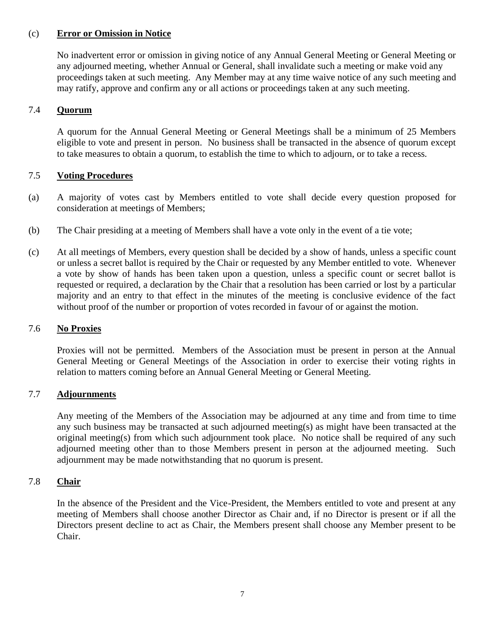# (c) **Error or Omission in Notice**

No inadvertent error or omission in giving notice of any Annual General Meeting or General Meeting or any adjourned meeting, whether Annual or General, shall invalidate such a meeting or make void any proceedings taken at such meeting. Any Member may at any time waive notice of any such meeting and may ratify, approve and confirm any or all actions or proceedings taken at any such meeting.

# 7.4 **Quorum**

A quorum for the Annual General Meeting or General Meetings shall be a minimum of 25 Members eligible to vote and present in person. No business shall be transacted in the absence of quorum except to take measures to obtain a quorum, to establish the time to which to adjourn, or to take a recess.

# 7.5 **Voting Procedures**

- (a) A majority of votes cast by Members entitled to vote shall decide every question proposed for consideration at meetings of Members;
- (b) The Chair presiding at a meeting of Members shall have a vote only in the event of a tie vote;
- (c) At all meetings of Members, every question shall be decided by a show of hands, unless a specific count or unless a secret ballot is required by the Chair or requested by any Member entitled to vote. Whenever a vote by show of hands has been taken upon a question, unless a specific count or secret ballot is requested or required, a declaration by the Chair that a resolution has been carried or lost by a particular majority and an entry to that effect in the minutes of the meeting is conclusive evidence of the fact without proof of the number or proportion of votes recorded in favour of or against the motion.

#### 7.6 **No Proxies**

Proxies will not be permitted. Members of the Association must be present in person at the Annual General Meeting or General Meetings of the Association in order to exercise their voting rights in relation to matters coming before an Annual General Meeting or General Meeting.

#### 7.7 **Adjournments**

Any meeting of the Members of the Association may be adjourned at any time and from time to time any such business may be transacted at such adjourned meeting(s) as might have been transacted at the original meeting(s) from which such adjournment took place. No notice shall be required of any such adjourned meeting other than to those Members present in person at the adjourned meeting. Such adjournment may be made notwithstanding that no quorum is present.

#### 7.8 **Chair**

In the absence of the President and the Vice-President, the Members entitled to vote and present at any meeting of Members shall choose another Director as Chair and, if no Director is present or if all the Directors present decline to act as Chair, the Members present shall choose any Member present to be Chair.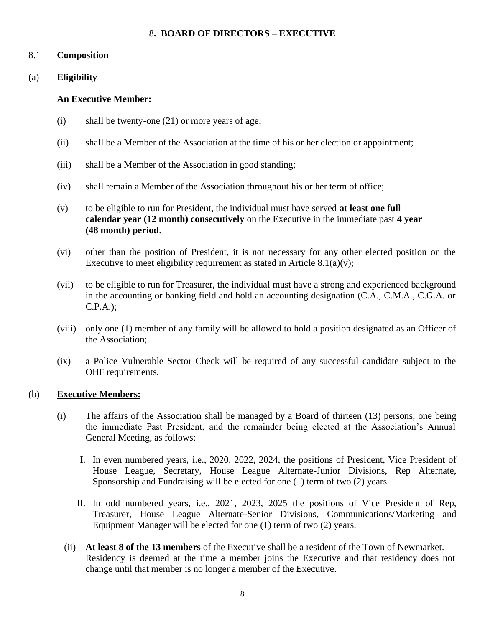#### 8**. BOARD OF DIRECTORS – EXECUTIVE**

#### 8.1 **Composition**

# (a) **Eligibility**

#### **An Executive Member:**

- (i) shall be twenty-one (21) or more years of age;
- (ii) shall be a Member of the Association at the time of his or her election or appointment;
- (iii) shall be a Member of the Association in good standing;
- (iv) shall remain a Member of the Association throughout his or her term of office;
- (v) to be eligible to run for President, the individual must have served **at least one full calendar year (12 month) consecutively** on the Executive in the immediate past **4 year (48 month) period**.
- (vi) other than the position of President, it is not necessary for any other elected position on the Executive to meet eligibility requirement as stated in Article  $8.1(a)(v)$ ;
- (vii) to be eligible to run for Treasurer, the individual must have a strong and experienced background in the accounting or banking field and hold an accounting designation (C.A., C.M.A., C.G.A. or C.P.A.);
- (viii) only one (1) member of any family will be allowed to hold a position designated as an Officer of the Association;
- (ix) a Police Vulnerable Sector Check will be required of any successful candidate subject to the OHF requirements.

#### (b) **Executive Members:**

- (i) The affairs of the Association shall be managed by a Board of thirteen (13) persons, one being the immediate Past President, and the remainder being elected at the Association's Annual General Meeting, as follows:
	- I. In even numbered years, i.e., 2020, 2022, 2024, the positions of President, Vice President of House League, Secretary, House League Alternate-Junior Divisions, Rep Alternate, Sponsorship and Fundraising will be elected for one (1) term of two (2) years.
	- II. In odd numbered years, i.e., 2021, 2023, 2025 the positions of Vice President of Rep, Treasurer, House League Alternate-Senior Divisions, Communications/Marketing and Equipment Manager will be elected for one (1) term of two (2) years.
	- (ii) **At least 8 of the 13 members** of the Executive shall be a resident of the Town of Newmarket. Residency is deemed at the time a member joins the Executive and that residency does not change until that member is no longer a member of the Executive.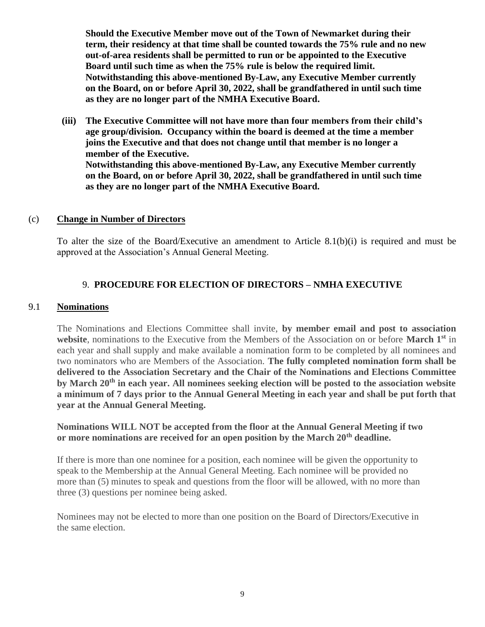**Should the Executive Member move out of the Town of Newmarket during their term, their residency at that time shall be counted towards the 75% rule and no new out-of-area residents shall be permitted to run or be appointed to the Executive Board until such time as when the 75% rule is below the required limit. Notwithstanding this above-mentioned By-Law, any Executive Member currently on the Board, on or before April 30, 2022, shall be grandfathered in until such time as they are no longer part of the NMHA Executive Board.**

**(iii) The Executive Committee will not have more than four members from their child's age group/division. Occupancy within the board is deemed at the time a member joins the Executive and that does not change until that member is no longer a member of the Executive. Notwithstanding this above-mentioned By-Law, any Executive Member currently on the Board, on or before April 30, 2022, shall be grandfathered in until such time as they are no longer part of the NMHA Executive Board.**

#### (c) **Change in Number of Directors**

To alter the size of the Board/Executive an amendment to Article 8.1(b)(i) is required and must be approved at the Association's Annual General Meeting.

# 9. **PROCEDURE FOR ELECTION OF DIRECTORS – NMHA EXECUTIVE**

#### 9.1 **Nominations**

The Nominations and Elections Committee shall invite, **by member email and post to association website**, nominations to the Executive from the Members of the Association on or before **March 1st** in each year and shall supply and make available a nomination form to be completed by all nominees and two nominators who are Members of the Association. **The fully completed nomination form shall be delivered to the Association Secretary and the Chair of the Nominations and Elections Committee by March 20th in each year. All nominees seeking election will be posted to the association website a minimum of 7 days prior to the Annual General Meeting in each year and shall be put forth that year at the Annual General Meeting.** 

# **Nominations WILL NOT be accepted from the floor at the Annual General Meeting if two or more nominations are received for an open position by the March 20th deadline.**

If there is more than one nominee for a position, each nominee will be given the opportunity to speak to the Membership at the Annual General Meeting. Each nominee will be provided no more than (5) minutes to speak and questions from the floor will be allowed, with no more than three (3) questions per nominee being asked.

Nominees may not be elected to more than one position on the Board of Directors/Executive in the same election.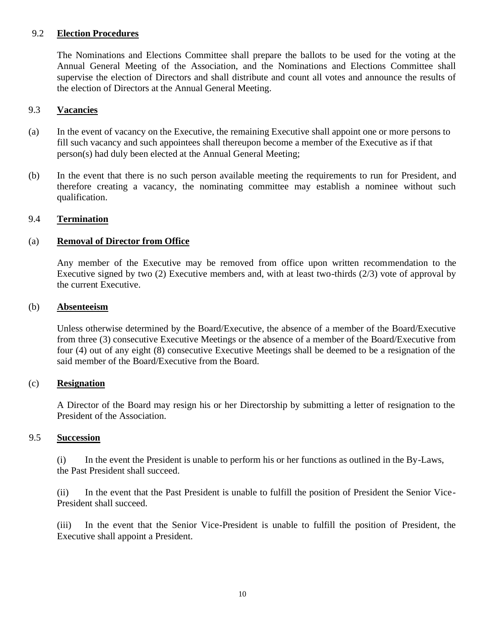#### 9.2 **Election Procedures**

The Nominations and Elections Committee shall prepare the ballots to be used for the voting at the Annual General Meeting of the Association, and the Nominations and Elections Committee shall supervise the election of Directors and shall distribute and count all votes and announce the results of the election of Directors at the Annual General Meeting.

#### 9.3 **Vacancies**

- (a) In the event of vacancy on the Executive, the remaining Executive shall appoint one or more persons to fill such vacancy and such appointees shall thereupon become a member of the Executive as if that person(s) had duly been elected at the Annual General Meeting;
- (b) In the event that there is no such person available meeting the requirements to run for President, and therefore creating a vacancy, the nominating committee may establish a nominee without such qualification.

#### 9.4 **Termination**

#### (a) **Removal of Director from Office**

Any member of the Executive may be removed from office upon written recommendation to the Executive signed by two (2) Executive members and, with at least two-thirds (2/3) vote of approval by the current Executive.

#### (b) **Absenteeism**

Unless otherwise determined by the Board/Executive, the absence of a member of the Board/Executive from three (3) consecutive Executive Meetings or the absence of a member of the Board/Executive from four (4) out of any eight (8) consecutive Executive Meetings shall be deemed to be a resignation of the said member of the Board/Executive from the Board.

# (c) **Resignation**

A Director of the Board may resign his or her Directorship by submitting a letter of resignation to the President of the Association.

#### 9.5 **Succession**

(i) In the event the President is unable to perform his or her functions as outlined in the By-Laws, the Past President shall succeed.

(ii) In the event that the Past President is unable to fulfill the position of President the Senior Vice-President shall succeed.

(iii) In the event that the Senior Vice-President is unable to fulfill the position of President, the Executive shall appoint a President.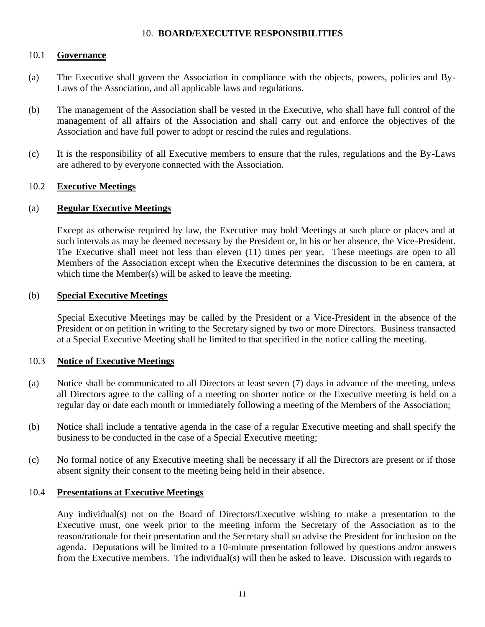# 10. **BOARD/EXECUTIVE RESPONSIBILITIES**

#### 10.1 **Governance**

- (a) The Executive shall govern the Association in compliance with the objects, powers, policies and By-Laws of the Association, and all applicable laws and regulations.
- (b) The management of the Association shall be vested in the Executive, who shall have full control of the management of all affairs of the Association and shall carry out and enforce the objectives of the Association and have full power to adopt or rescind the rules and regulations.
- (c) It is the responsibility of all Executive members to ensure that the rules, regulations and the By-Laws are adhered to by everyone connected with the Association.

# 10.2 **Executive Meetings**

# (a) **Regular Executive Meetings**

Except as otherwise required by law, the Executive may hold Meetings at such place or places and at such intervals as may be deemed necessary by the President or, in his or her absence, the Vice-President. The Executive shall meet not less than eleven (11) times per year. These meetings are open to all Members of the Association except when the Executive determines the discussion to be en camera, at which time the Member(s) will be asked to leave the meeting.

#### (b) **Special Executive Meetings**

Special Executive Meetings may be called by the President or a Vice-President in the absence of the President or on petition in writing to the Secretary signed by two or more Directors. Business transacted at a Special Executive Meeting shall be limited to that specified in the notice calling the meeting.

#### 10.3 **Notice of Executive Meetings**

- (a) Notice shall be communicated to all Directors at least seven (7) days in advance of the meeting, unless all Directors agree to the calling of a meeting on shorter notice or the Executive meeting is held on a regular day or date each month or immediately following a meeting of the Members of the Association;
- (b) Notice shall include a tentative agenda in the case of a regular Executive meeting and shall specify the business to be conducted in the case of a Special Executive meeting;
- (c) No formal notice of any Executive meeting shall be necessary if all the Directors are present or if those absent signify their consent to the meeting being held in their absence.

#### 10.4 **Presentations at Executive Meetings**

Any individual(s) not on the Board of Directors/Executive wishing to make a presentation to the Executive must, one week prior to the meeting inform the Secretary of the Association as to the reason/rationale for their presentation and the Secretary shall so advise the President for inclusion on the agenda. Deputations will be limited to a 10-minute presentation followed by questions and/or answers from the Executive members. The individual(s) will then be asked to leave. Discussion with regards to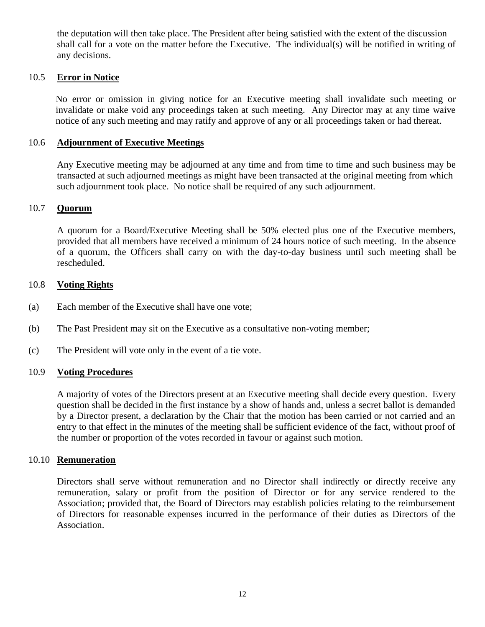the deputation will then take place. The President after being satisfied with the extent of the discussion shall call for a vote on the matter before the Executive. The individual(s) will be notified in writing of any decisions.

#### 10.5 **Error in Notice**

No error or omission in giving notice for an Executive meeting shall invalidate such meeting or invalidate or make void any proceedings taken at such meeting. Any Director may at any time waive notice of any such meeting and may ratify and approve of any or all proceedings taken or had thereat.

#### 10.6 **Adjournment of Executive Meetings**

Any Executive meeting may be adjourned at any time and from time to time and such business may be transacted at such adjourned meetings as might have been transacted at the original meeting from which such adjournment took place. No notice shall be required of any such adjournment.

#### 10.7 **Quorum**

A quorum for a Board/Executive Meeting shall be 50% elected plus one of the Executive members, provided that all members have received a minimum of 24 hours notice of such meeting. In the absence of a quorum, the Officers shall carry on with the day-to-day business until such meeting shall be rescheduled.

#### 10.8 **Voting Rights**

- (a) Each member of the Executive shall have one vote;
- (b) The Past President may sit on the Executive as a consultative non-voting member;
- (c) The President will vote only in the event of a tie vote.

#### 10.9 **Voting Procedures**

A majority of votes of the Directors present at an Executive meeting shall decide every question. Every question shall be decided in the first instance by a show of hands and, unless a secret ballot is demanded by a Director present, a declaration by the Chair that the motion has been carried or not carried and an entry to that effect in the minutes of the meeting shall be sufficient evidence of the fact, without proof of the number or proportion of the votes recorded in favour or against such motion.

#### 10.10 **Remuneration**

Directors shall serve without remuneration and no Director shall indirectly or directly receive any remuneration, salary or profit from the position of Director or for any service rendered to the Association; provided that, the Board of Directors may establish policies relating to the reimbursement of Directors for reasonable expenses incurred in the performance of their duties as Directors of the Association.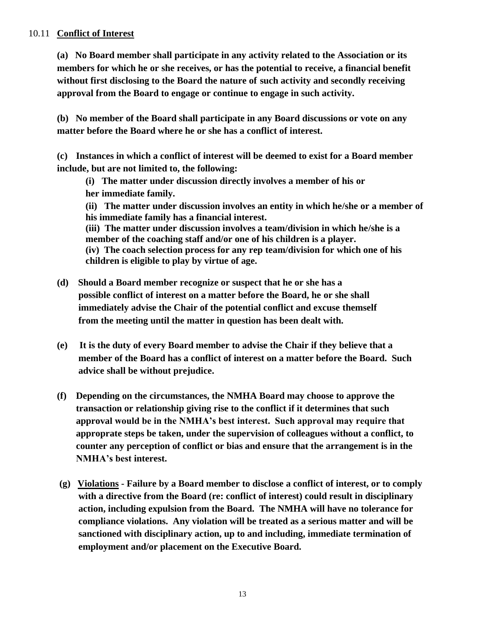### 10.11 **Conflict of Interest**

**(a) No Board member shall participate in any activity related to the Association or its members for which he or she receives, or has the potential to receive, a financial benefit without first disclosing to the Board the nature of such activity and secondly receiving approval from the Board to engage or continue to engage in such activity.**

**(b) No member of the Board shall participate in any Board discussions or vote on any matter before the Board where he or she has a conflict of interest.**

**(c) Instances in which a conflict of interest will be deemed to exist for a Board member include, but are not limited to, the following:**

 **(i) The matter under discussion directly involves a member of his or** 

 **her immediate family.**

**(ii) The matter under discussion involves an entity in which he/she or a member of his immediate family has a financial interest.**

**(iii) The matter under discussion involves a team/division in which he/she is a member of the coaching staff and/or one of his children is a player. (iv) The coach selection process for any rep team/division for which one of his** 

**children is eligible to play by virtue of age.**

- **(d) Should a Board member recognize or suspect that he or she has a possible conflict of interest on a matter before the Board, he or she shall immediately advise the Chair of the potential conflict and excuse themself from the meeting until the matter in question has been dealt with.**
- **(e) It is the duty of every Board member to advise the Chair if they believe that a member of the Board has a conflict of interest on a matter before the Board. Such advice shall be without prejudice.**
- **(f) Depending on the circumstances, the NMHA Board may choose to approve the transaction or relationship giving rise to the conflict if it determines that such approval would be in the NMHA's best interest. Such approval may require that approprate steps be taken, under the supervision of colleagues without a conflict, to counter any perception of conflict or bias and ensure that the arrangement is in the NMHA's best interest.**
- **(g) Violations - Failure by a Board member to disclose a conflict of interest, or to comply with a directive from the Board (re: conflict of interest) could result in disciplinary action, including expulsion from the Board. The NMHA will have no tolerance for compliance violations. Any violation will be treated as a serious matter and will be sanctioned with disciplinary action, up to and including, immediate termination of employment and/or placement on the Executive Board.**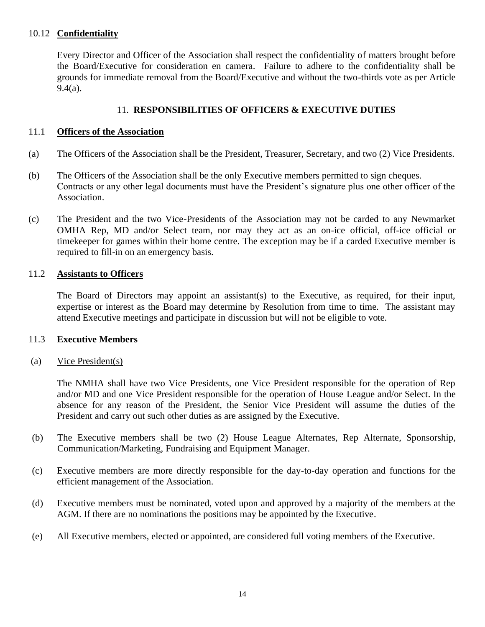#### 10.12 **Confidentiality**

Every Director and Officer of the Association shall respect the confidentiality of matters brought before the Board/Executive for consideration en camera. Failure to adhere to the confidentiality shall be grounds for immediate removal from the Board/Executive and without the two-thirds vote as per Article 9.4(a).

# 11. **RESPONSIBILITIES OF OFFICERS & EXECUTIVE DUTIES**

#### 11.1 **Officers of the Association**

- (a) The Officers of the Association shall be the President, Treasurer, Secretary, and two (2) Vice Presidents.
- (b) The Officers of the Association shall be the only Executive members permitted to sign cheques. Contracts or any other legal documents must have the President's signature plus one other officer of the Association.
- (c) The President and the two Vice-Presidents of the Association may not be carded to any Newmarket OMHA Rep, MD and/or Select team, nor may they act as an on-ice official, off-ice official or timekeeper for games within their home centre. The exception may be if a carded Executive member is required to fill-in on an emergency basis.

#### 11.2 **Assistants to Officers**

The Board of Directors may appoint an assistant(s) to the Executive, as required, for their input, expertise or interest as the Board may determine by Resolution from time to time. The assistant may attend Executive meetings and participate in discussion but will not be eligible to vote.

#### 11.3 **Executive Members**

#### (a) Vice President(s)

The NMHA shall have two Vice Presidents, one Vice President responsible for the operation of Rep and/or MD and one Vice President responsible for the operation of House League and/or Select. In the absence for any reason of the President, the Senior Vice President will assume the duties of the President and carry out such other duties as are assigned by the Executive.

- (b) The Executive members shall be two (2) House League Alternates, Rep Alternate, Sponsorship, Communication/Marketing, Fundraising and Equipment Manager.
- (c) Executive members are more directly responsible for the day-to-day operation and functions for the efficient management of the Association.
- (d) Executive members must be nominated, voted upon and approved by a majority of the members at the AGM. If there are no nominations the positions may be appointed by the Executive.
- (e) All Executive members, elected or appointed, are considered full voting members of the Executive.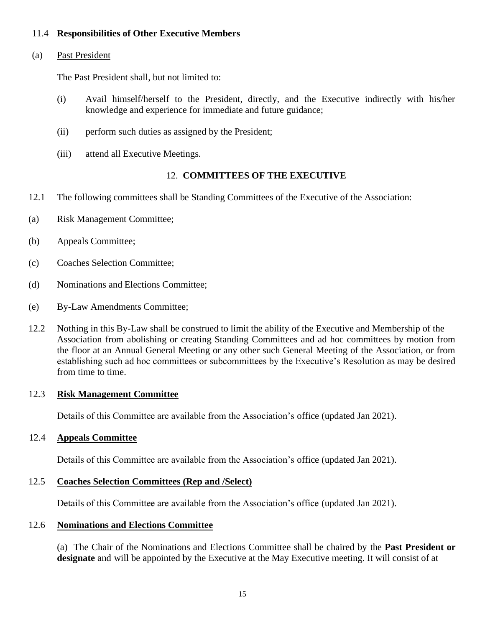# 11.4 **Responsibilities of Other Executive Members**

#### (a) Past President

The Past President shall, but not limited to:

- (i) Avail himself/herself to the President, directly, and the Executive indirectly with his/her knowledge and experience for immediate and future guidance;
- (ii) perform such duties as assigned by the President;
- (iii) attend all Executive Meetings.

#### 12. **COMMITTEES OF THE EXECUTIVE**

- 12.1 The following committees shall be Standing Committees of the Executive of the Association:
- (a) Risk Management Committee;
- (b) Appeals Committee;
- (c) Coaches Selection Committee;
- (d) Nominations and Elections Committee;
- (e) By-Law Amendments Committee;
- 12.2 Nothing in this By-Law shall be construed to limit the ability of the Executive and Membership of the Association from abolishing or creating Standing Committees and ad hoc committees by motion from the floor at an Annual General Meeting or any other such General Meeting of the Association, or from establishing such ad hoc committees or subcommittees by the Executive's Resolution as may be desired from time to time.

#### 12.3 **Risk Management Committee**

Details of this Committee are available from the Association's office (updated Jan 2021).

#### 12.4 **Appeals Committee**

Details of this Committee are available from the Association's office (updated Jan 2021).

#### 12.5 **Coaches Selection Committees (Rep and /Select)**

Details of this Committee are available from the Association's office (updated Jan 2021).

#### 12.6 **Nominations and Elections Committee**

(a) The Chair of the Nominations and Elections Committee shall be chaired by the **Past President or designate** and will be appointed by the Executive at the May Executive meeting. It will consist of at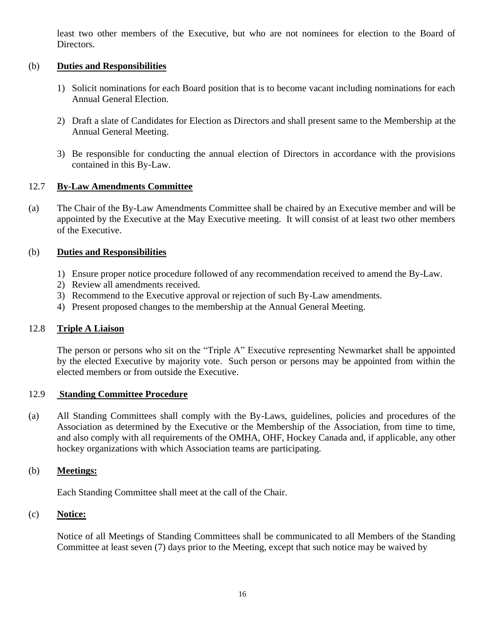least two other members of the Executive, but who are not nominees for election to the Board of Directors.

# (b) **Duties and Responsibilities**

- 1) Solicit nominations for each Board position that is to become vacant including nominations for each Annual General Election.
- 2) Draft a slate of Candidates for Election as Directors and shall present same to the Membership at the Annual General Meeting.
- 3) Be responsible for conducting the annual election of Directors in accordance with the provisions contained in this By-Law.

# 12.7 **By-Law Amendments Committee**

(a) The Chair of the By-Law Amendments Committee shall be chaired by an Executive member and will be appointed by the Executive at the May Executive meeting. It will consist of at least two other members of the Executive.

# (b) **Duties and Responsibilities**

- 1) Ensure proper notice procedure followed of any recommendation received to amend the By-Law.
- 2) Review all amendments received.
- 3) Recommend to the Executive approval or rejection of such By-Law amendments.
- 4) Present proposed changes to the membership at the Annual General Meeting.

#### 12.8 **Triple A Liaison**

The person or persons who sit on the "Triple A" Executive representing Newmarket shall be appointed by the elected Executive by majority vote. Such person or persons may be appointed from within the elected members or from outside the Executive.

#### 12.9 **Standing Committee Procedure**

(a) All Standing Committees shall comply with the By-Laws, guidelines, policies and procedures of the Association as determined by the Executive or the Membership of the Association, from time to time, and also comply with all requirements of the OMHA, OHF, Hockey Canada and, if applicable, any other hockey organizations with which Association teams are participating.

# (b) **Meetings:**

Each Standing Committee shall meet at the call of the Chair.

# (c) **Notice:**

Notice of all Meetings of Standing Committees shall be communicated to all Members of the Standing Committee at least seven (7) days prior to the Meeting, except that such notice may be waived by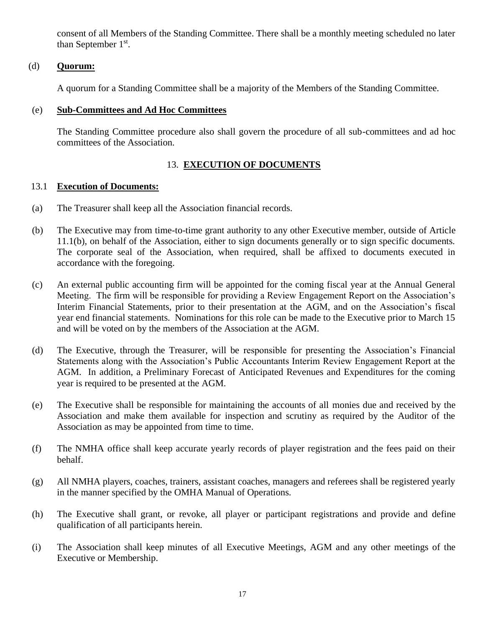consent of all Members of the Standing Committee. There shall be a monthly meeting scheduled no later than September  $1<sup>st</sup>$ .

# (d) **Quorum:**

A quorum for a Standing Committee shall be a majority of the Members of the Standing Committee.

# (e) **Sub-Committees and Ad Hoc Committees**

The Standing Committee procedure also shall govern the procedure of all sub-committees and ad hoc committees of the Association.

# 13. **EXECUTION OF DOCUMENTS**

# 13.1 **Execution of Documents:**

- (a) The Treasurer shall keep all the Association financial records.
- (b) The Executive may from time-to-time grant authority to any other Executive member, outside of Article 11.1(b), on behalf of the Association, either to sign documents generally or to sign specific documents. The corporate seal of the Association, when required, shall be affixed to documents executed in accordance with the foregoing.
- (c) An external public accounting firm will be appointed for the coming fiscal year at the Annual General Meeting. The firm will be responsible for providing a Review Engagement Report on the Association's Interim Financial Statements, prior to their presentation at the AGM, and on the Association's fiscal year end financial statements. Nominations for this role can be made to the Executive prior to March 15 and will be voted on by the members of the Association at the AGM.
- (d) The Executive, through the Treasurer, will be responsible for presenting the Association's Financial Statements along with the Association's Public Accountants Interim Review Engagement Report at the AGM. In addition, a Preliminary Forecast of Anticipated Revenues and Expenditures for the coming year is required to be presented at the AGM.
- (e) The Executive shall be responsible for maintaining the accounts of all monies due and received by the Association and make them available for inspection and scrutiny as required by the Auditor of the Association as may be appointed from time to time.
- (f) The NMHA office shall keep accurate yearly records of player registration and the fees paid on their behalf.
- (g) All NMHA players, coaches, trainers, assistant coaches, managers and referees shall be registered yearly in the manner specified by the OMHA Manual of Operations.
- (h) The Executive shall grant, or revoke, all player or participant registrations and provide and define qualification of all participants herein.
- (i) The Association shall keep minutes of all Executive Meetings, AGM and any other meetings of the Executive or Membership.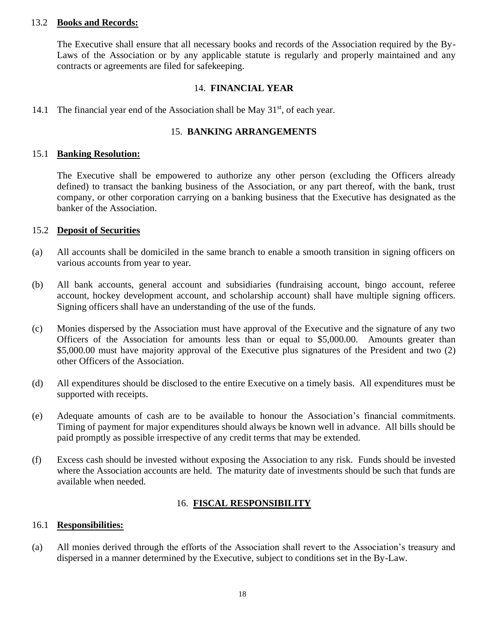#### 13.2 **Books and Records:**

The Executive shall ensure that all necessary books and records of the Association required by the By-Laws of the Association or by any applicable statute is regularly and properly maintained and any contracts or agreements are filed for safekeeping.

#### 14. **FINANCIAL YEAR**

14.1 The financial year end of the Association shall be May  $31<sup>st</sup>$ , of each year.

#### 15. **BANKING ARRANGEMENTS**

#### 15.1 **Banking Resolution:**

The Executive shall be empowered to authorize any other person (excluding the Officers already defined) to transact the banking business of the Association, or any part thereof, with the bank, trust company, or other corporation carrying on a banking business that the Executive has designated as the banker of the Association.

#### 15.2 **Deposit of Securities**

- (a) All accounts shall be domiciled in the same branch to enable a smooth transition in signing officers on various accounts from year to year.
- (b) All bank accounts, general account and subsidiaries (fundraising account, bingo account, referee account, hockey development account, and scholarship account) shall have multiple signing officers. Signing officers shall have an understanding of the use of the funds.
- (c) Monies dispersed by the Association must have approval of the Executive and the signature of any two Officers of the Association for amounts less than or equal to \$5,000.00. Amounts greater than \$5,000.00 must have majority approval of the Executive plus signatures of the President and two (2) other Officers of the Association.
- (d) All expenditures should be disclosed to the entire Executive on a timely basis. All expenditures must be supported with receipts.
- (e) Adequate amounts of cash are to be available to honour the Association's financial commitments. Timing of payment for major expenditures should always be known well in advance. All bills should be paid promptly as possible irrespective of any credit terms that may be extended.
- (f) Excess cash should be invested without exposing the Association to any risk. Funds should be invested where the Association accounts are held. The maturity date of investments should be such that funds are available when needed.

# 16. **FISCAL RESPONSIBILITY**

#### 16.1 **Responsibilities:**

(a) All monies derived through the efforts of the Association shall revert to the Association's treasury and dispersed in a manner determined by the Executive, subject to conditions set in the By-Law.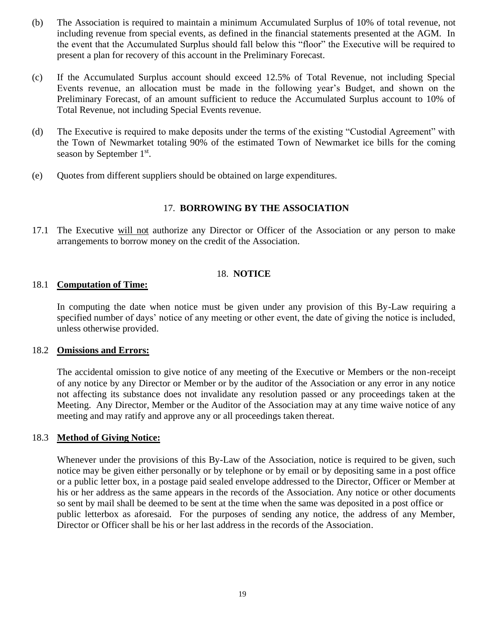- (b) The Association is required to maintain a minimum Accumulated Surplus of 10% of total revenue, not including revenue from special events, as defined in the financial statements presented at the AGM. In the event that the Accumulated Surplus should fall below this "floor" the Executive will be required to present a plan for recovery of this account in the Preliminary Forecast.
- (c) If the Accumulated Surplus account should exceed 12.5% of Total Revenue, not including Special Events revenue, an allocation must be made in the following year's Budget, and shown on the Preliminary Forecast, of an amount sufficient to reduce the Accumulated Surplus account to 10% of Total Revenue, not including Special Events revenue.
- (d) The Executive is required to make deposits under the terms of the existing "Custodial Agreement" with the Town of Newmarket totaling 90% of the estimated Town of Newmarket ice bills for the coming season by September 1<sup>st</sup>.
- (e) Quotes from different suppliers should be obtained on large expenditures.

# 17. **BORROWING BY THE ASSOCIATION**

17.1 The Executive will not authorize any Director or Officer of the Association or any person to make arrangements to borrow money on the credit of the Association.

# 18. **NOTICE**

#### 18.1 **Computation of Time:**

In computing the date when notice must be given under any provision of this By-Law requiring a specified number of days' notice of any meeting or other event, the date of giving the notice is included, unless otherwise provided.

#### 18.2 **Omissions and Errors:**

The accidental omission to give notice of any meeting of the Executive or Members or the non-receipt of any notice by any Director or Member or by the auditor of the Association or any error in any notice not affecting its substance does not invalidate any resolution passed or any proceedings taken at the Meeting. Any Director, Member or the Auditor of the Association may at any time waive notice of any meeting and may ratify and approve any or all proceedings taken thereat.

#### 18.3 **Method of Giving Notice:**

Whenever under the provisions of this By-Law of the Association, notice is required to be given, such notice may be given either personally or by telephone or by email or by depositing same in a post office or a public letter box, in a postage paid sealed envelope addressed to the Director, Officer or Member at his or her address as the same appears in the records of the Association. Any notice or other documents so sent by mail shall be deemed to be sent at the time when the same was deposited in a post office or public letterbox as aforesaid. For the purposes of sending any notice, the address of any Member, Director or Officer shall be his or her last address in the records of the Association.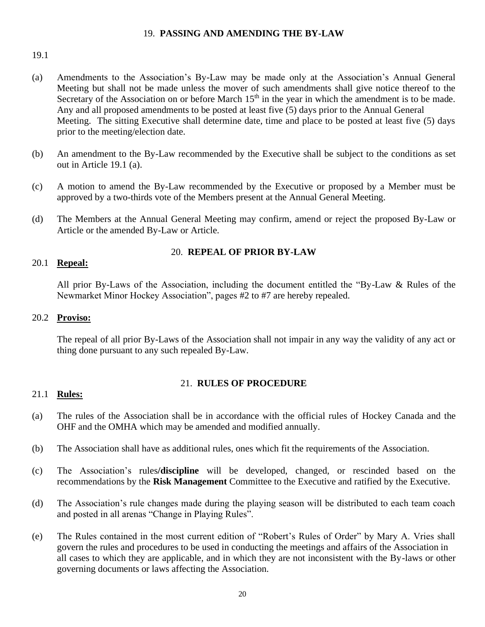#### 19. **PASSING AND AMENDING THE BY-LAW**

#### 19.1

- (a) Amendments to the Association's By-Law may be made only at the Association's Annual General Meeting but shall not be made unless the mover of such amendments shall give notice thereof to the Secretary of the Association on or before March  $15<sup>th</sup>$  in the year in which the amendment is to be made. Any and all proposed amendments to be posted at least five (5) days prior to the Annual General Meeting. The sitting Executive shall determine date, time and place to be posted at least five (5) days prior to the meeting/election date.
- (b) An amendment to the By-Law recommended by the Executive shall be subject to the conditions as set out in Article 19.1 (a).
- (c) A motion to amend the By-Law recommended by the Executive or proposed by a Member must be approved by a two-thirds vote of the Members present at the Annual General Meeting.
- (d) The Members at the Annual General Meeting may confirm, amend or reject the proposed By-Law or Article or the amended By-Law or Article.

# 20. **REPEAL OF PRIOR BY-LAW**

#### 20.1 **Repeal:**

All prior By-Laws of the Association, including the document entitled the "By-Law & Rules of the Newmarket Minor Hockey Association", pages #2 to #7 are hereby repealed.

#### 20.2 **Proviso:**

The repeal of all prior By-Laws of the Association shall not impair in any way the validity of any act or thing done pursuant to any such repealed By-Law.

# 21. **RULES OF PROCEDURE**

#### 21.1 **Rules:**

- (a) The rules of the Association shall be in accordance with the official rules of Hockey Canada and the OHF and the OMHA which may be amended and modified annually.
- (b) The Association shall have as additional rules, ones which fit the requirements of the Association.
- (c) The Association's rules**/discipline** will be developed, changed, or rescinded based on the recommendations by the **Risk Management** Committee to the Executive and ratified by the Executive.
- (d) The Association's rule changes made during the playing season will be distributed to each team coach and posted in all arenas "Change in Playing Rules".
- (e) The Rules contained in the most current edition of "Robert's Rules of Order" by Mary A. Vries shall govern the rules and procedures to be used in conducting the meetings and affairs of the Association in all cases to which they are applicable, and in which they are not inconsistent with the By-laws or other governing documents or laws affecting the Association.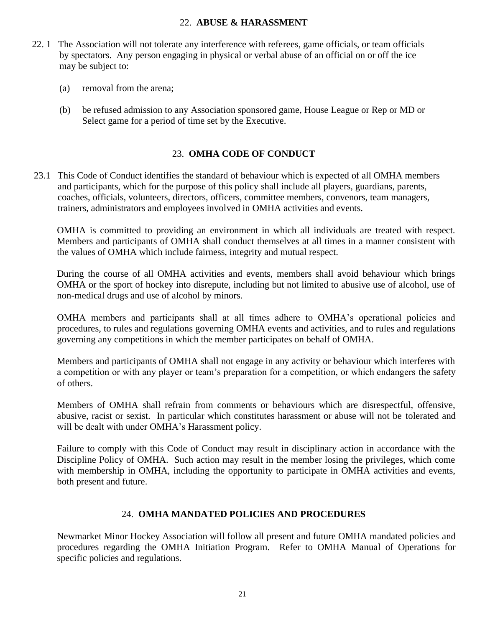# 22. **ABUSE & HARASSMENT**

- 22. 1 The Association will not tolerate any interference with referees, game officials, or team officials by spectators. Any person engaging in physical or verbal abuse of an official on or off the ice may be subject to:
	- (a) removal from the arena;
	- (b) be refused admission to any Association sponsored game, House League or Rep or MD or Select game for a period of time set by the Executive.

# 23. **OMHA CODE OF CONDUCT**

23.1 This Code of Conduct identifies the standard of behaviour which is expected of all OMHA members and participants, which for the purpose of this policy shall include all players, guardians, parents, coaches, officials, volunteers, directors, officers, committee members, convenors, team managers, trainers, administrators and employees involved in OMHA activities and events.

OMHA is committed to providing an environment in which all individuals are treated with respect. Members and participants of OMHA shall conduct themselves at all times in a manner consistent with the values of OMHA which include fairness, integrity and mutual respect.

During the course of all OMHA activities and events, members shall avoid behaviour which brings OMHA or the sport of hockey into disrepute, including but not limited to abusive use of alcohol, use of non-medical drugs and use of alcohol by minors.

OMHA members and participants shall at all times adhere to OMHA's operational policies and procedures, to rules and regulations governing OMHA events and activities, and to rules and regulations governing any competitions in which the member participates on behalf of OMHA.

Members and participants of OMHA shall not engage in any activity or behaviour which interferes with a competition or with any player or team's preparation for a competition, or which endangers the safety of others.

Members of OMHA shall refrain from comments or behaviours which are disrespectful, offensive, abusive, racist or sexist. In particular which constitutes harassment or abuse will not be tolerated and will be dealt with under OMHA's Harassment policy.

Failure to comply with this Code of Conduct may result in disciplinary action in accordance with the Discipline Policy of OMHA. Such action may result in the member losing the privileges, which come with membership in OMHA, including the opportunity to participate in OMHA activities and events, both present and future.

# 24. **OMHA MANDATED POLICIES AND PROCEDURES**

Newmarket Minor Hockey Association will follow all present and future OMHA mandated policies and procedures regarding the OMHA Initiation Program. Refer to OMHA Manual of Operations for specific policies and regulations.